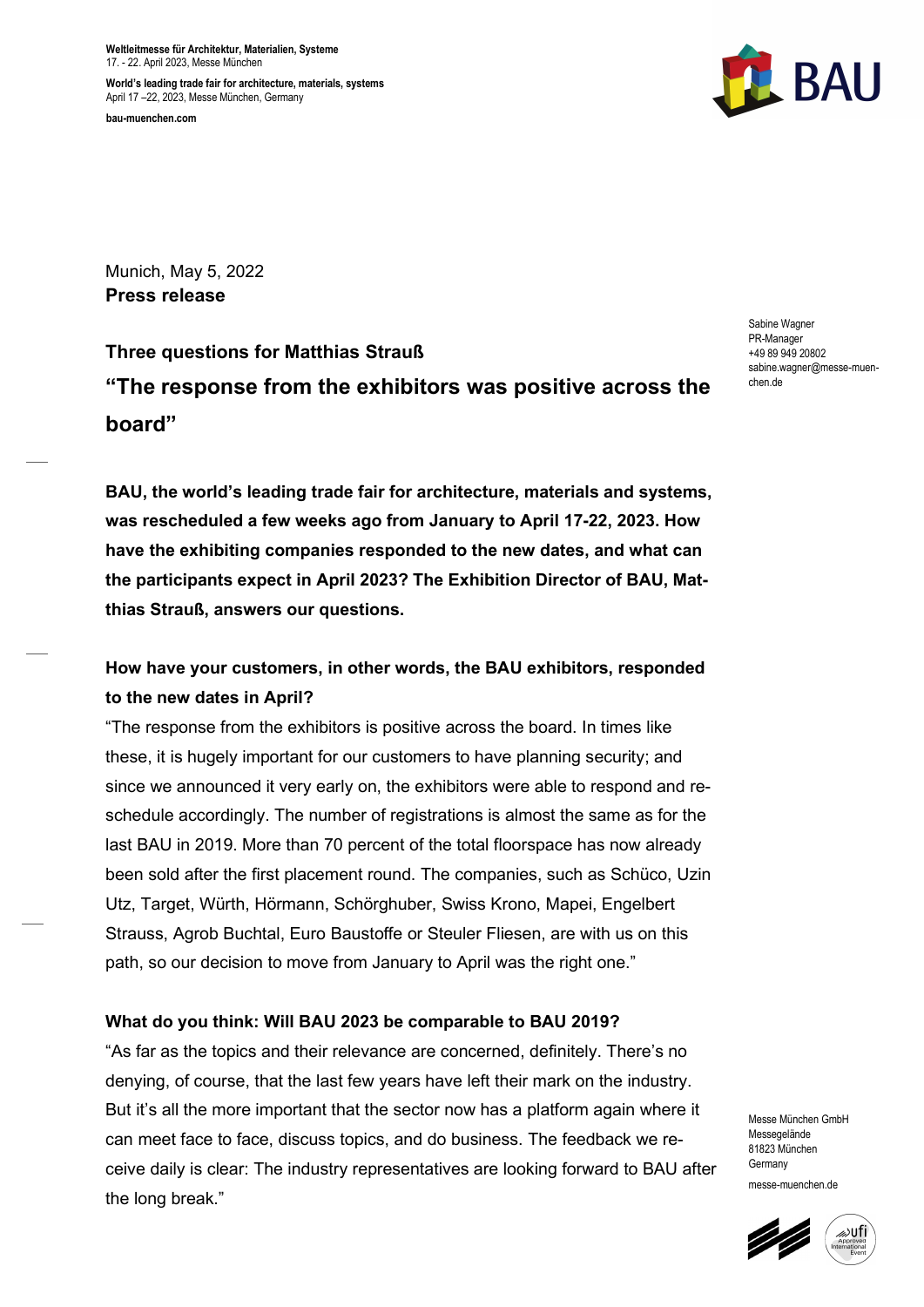Weltleitmesse für Architektur, Materialien, Systeme 17. - 22. April 2023, Messe München

World's leading trade fair for architecture, materials, systems April 17 –22, 2023, Messe München, Germany bau-muenchen.com



Munich, May 5, 2022 Press release

Three questions for Matthias Strauß "The response from the exhibitors was positive across the board"

Sabine Wagner PR-Manager +49 89 949 20802 sabine.wagner@messe-muenchen.de

BAU, the world's leading trade fair for architecture, materials and systems, was rescheduled a few weeks ago from January to April 17-22, 2023. How have the exhibiting companies responded to the new dates, and what can the participants expect in April 2023? The Exhibition Director of BAU, Matthias Strauß, answers our questions.

# How have your customers, in other words, the BAU exhibitors, responded to the new dates in April?

"The response from the exhibitors is positive across the board. In times like these, it is hugely important for our customers to have planning security; and since we announced it very early on, the exhibitors were able to respond and reschedule accordingly. The number of registrations is almost the same as for the last BAU in 2019. More than 70 percent of the total floorspace has now already been sold after the first placement round. The companies, such as Schüco, Uzin Utz, Target, Würth, Hörmann, Schörghuber, Swiss Krono, Mapei, Engelbert Strauss, Agrob Buchtal, Euro Baustoffe or Steuler Fliesen, are with us on this path, so our decision to move from January to April was the right one."

## What do you think: Will BAU 2023 be comparable to BAU 2019?

"As far as the topics and their relevance are concerned, definitely. There's no denying, of course, that the last few years have left their mark on the industry. But it's all the more important that the sector now has a platform again where it can meet face to face, discuss topics, and do business. The feedback we receive daily is clear: The industry representatives are looking forward to BAU after the long break."

Messe München GmbH Messegelände 81823 München Germany messe-muenchen.de